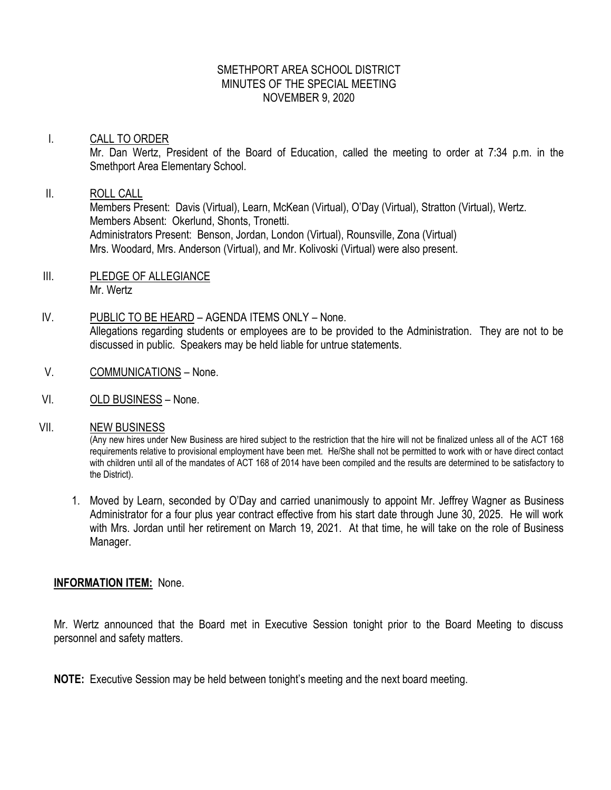# SMETHPORT AREA SCHOOL DISTRICT MINUTES OF THE SPECIAL MEETING NOVEMBER 9, 2020

### I. CALL TO ORDER

Mr. Dan Wertz, President of the Board of Education, called the meeting to order at 7:34 p.m. in the Smethport Area Elementary School.

### II. ROLL CALL

Members Present: Davis (Virtual), Learn, McKean (Virtual), O'Day (Virtual), Stratton (Virtual), Wertz. Members Absent: Okerlund, Shonts, Tronetti. Administrators Present: Benson, Jordan, London (Virtual), Rounsville, Zona (Virtual) Mrs. Woodard, Mrs. Anderson (Virtual), and Mr. Kolivoski (Virtual) were also present.

- III. PLEDGE OF ALLEGIANCE Mr. Wertz
- IV. PUBLIC TO BE HEARD AGENDA ITEMS ONLY None. Allegations regarding students or employees are to be provided to the Administration. They are not to be discussed in public. Speakers may be held liable for untrue statements.
- V. COMMUNICATIONS None.
- VI. OLD BUSINESS None.

### VII. NEW BUSINESS

(Any new hires under New Business are hired subject to the restriction that the hire will not be finalized unless all of the ACT 168 requirements relative to provisional employment have been met. He/She shall not be permitted to work with or have direct contact with children until all of the mandates of ACT 168 of 2014 have been compiled and the results are determined to be satisfactory to the District).

1. Moved by Learn, seconded by O'Day and carried unanimously to appoint Mr. Jeffrey Wagner as Business Administrator for a four plus year contract effective from his start date through June 30, 2025. He will work with Mrs. Jordan until her retirement on March 19, 2021. At that time, he will take on the role of Business Manager.

# **INFORMATION ITEM:** None.

Mr. Wertz announced that the Board met in Executive Session tonight prior to the Board Meeting to discuss personnel and safety matters.

**NOTE:** Executive Session may be held between tonight's meeting and the next board meeting.